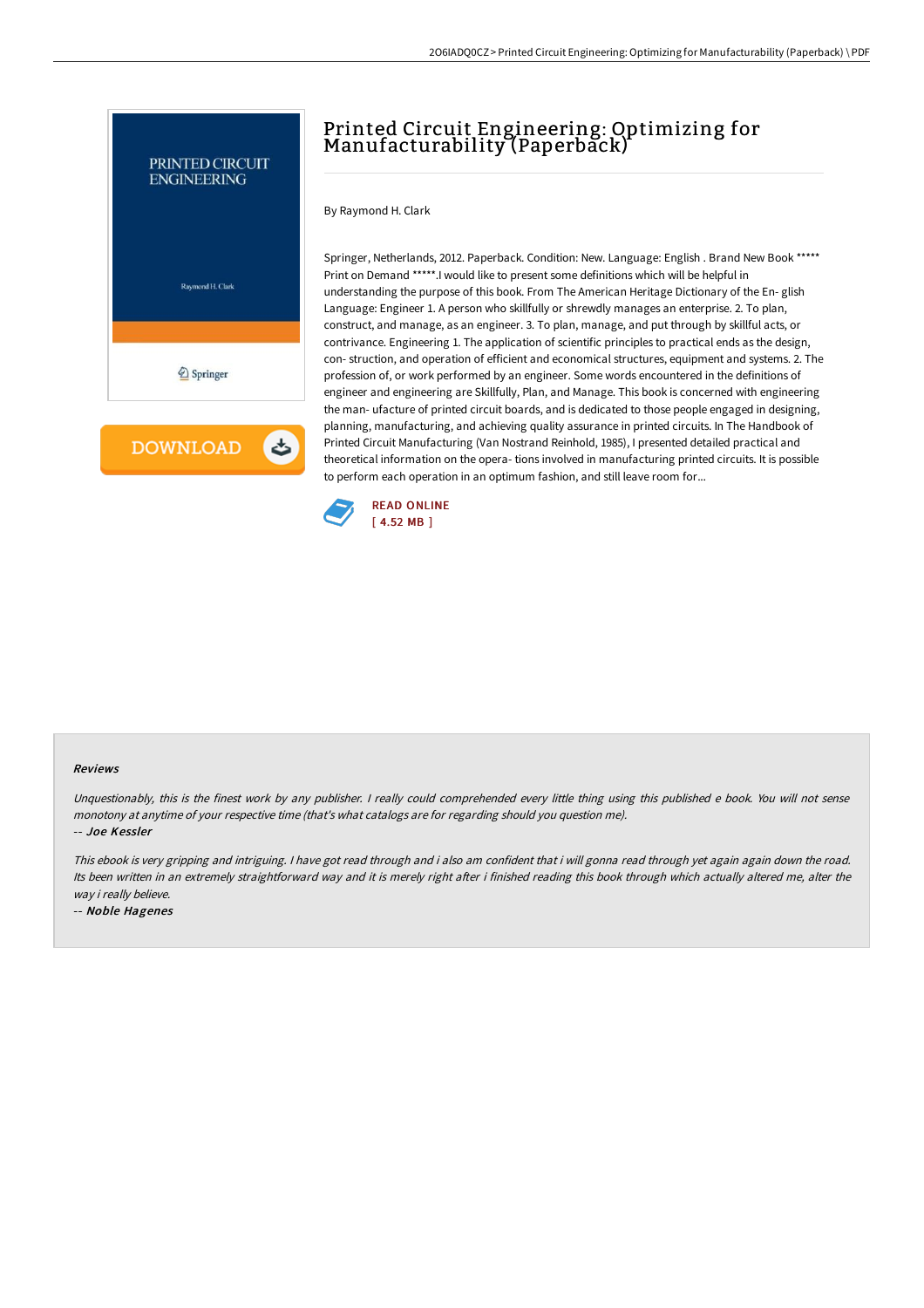

## Printed Circuit Engineering: Optimizing for Manufacturability (Paperback)

By Raymond H. Clark

Springer, Netherlands, 2012. Paperback. Condition: New. Language: English . Brand New Book \*\*\*\*\* Print on Demand \*\*\*\*\*.I would like to present some definitions which will be helpful in understanding the purpose of this book. From The American Heritage Dictionary of the En- glish Language: Engineer 1. A person who skillfully or shrewdly manages an enterprise. 2. To plan, construct, and manage, as an engineer. 3. To plan, manage, and put through by skillful acts, or contrivance. Engineering 1. The application of scientific principles to practical ends as the design, con- struction, and operation of efficient and economical structures, equipment and systems. 2. The profession of, or work performed by an engineer. Some words encountered in the definitions of engineer and engineering are Skillfully, Plan, and Manage. This book is concerned with engineering the man- ufacture of printed circuit boards, and is dedicated to those people engaged in designing, planning, manufacturing, and achieving quality assurance in printed circuits. In The Handbook of Printed Circuit Manufacturing (Van Nostrand Reinhold, 1985), I presented detailed practical and theoretical information on the opera- tions involved in manufacturing printed circuits. It is possible to perform each operation in an optimum fashion, and still leave room for...



## Reviews

Unquestionably, this is the finest work by any publisher. <sup>I</sup> really could comprehended every little thing using this published <sup>e</sup> book. You will not sense monotony at anytime of your respective time (that's what catalogs are for regarding should you question me).

-- Joe Kessler

This ebook is very gripping and intriguing. <sup>I</sup> have got read through and i also am confident that i will gonna read through yet again again down the road. Its been written in an extremely straightforward way and it is merely right after i finished reading this book through which actually altered me, alter the way i really believe.

-- Noble Hagenes